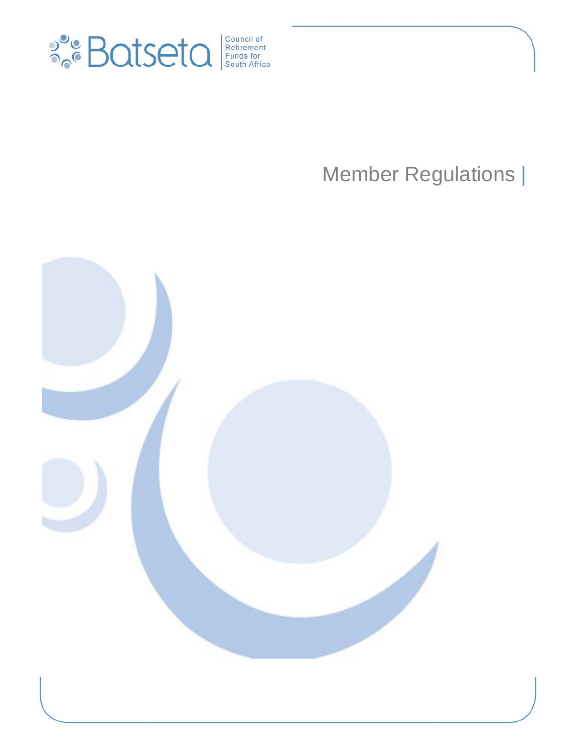

# Member Regulations |

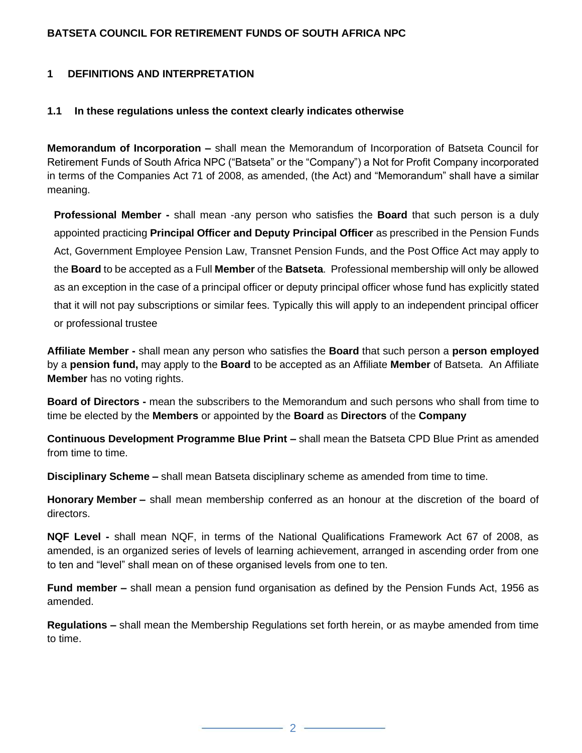## **BATSETA COUNCIL FOR RETIREMENT FUNDS OF SOUTH AFRICA NPC**

#### **1 DEFINITIONS AND INTERPRETATION**

#### **1.1 In these regulations unless the context clearly indicates otherwise**

**Memorandum of Incorporation –** shall mean the Memorandum of Incorporation of Batseta Council for Retirement Funds of South Africa NPC ("Batseta" or the "Company") a Not for Profit Company incorporated in terms of the Companies Act 71 of 2008, as amended, (the Act) and "Memorandum" shall have a similar meaning.

**Professional Member -** shall mean -any person who satisfies the **Board** that such person is a duly appointed practicing **Principal Officer and Deputy Principal Officer** as prescribed in the Pension Funds Act, Government Employee Pension Law, Transnet Pension Funds, and the Post Office Act may apply to the **Board** to be accepted as a Full **Member** of the **Batseta**. Professional membership will only be allowed as an exception in the case of a principal officer or deputy principal officer whose fund has explicitly stated that it will not pay subscriptions or similar fees. Typically this will apply to an independent principal officer or professional trustee

**Affiliate Member -** shall mean any person who satisfies the **Board** that such person a **person employed**  by a **pension fund,** may apply to the **Board** to be accepted as an Affiliate **Member** of Batseta. An Affiliate **Member** has no voting rights.

**Board of Directors -** mean the subscribers to the Memorandum and such persons who shall from time to time be elected by the **Members** or appointed by the **Board** as **Directors** of the **Company**

**Continuous Development Programme Blue Print –** shall mean the Batseta CPD Blue Print as amended from time to time.

**Disciplinary Scheme –** shall mean Batseta disciplinary scheme as amended from time to time.

**Honorary Member –** shall mean membership conferred as an honour at the discretion of the board of directors.

**NQF Level -** shall mean NQF, in terms of the National Qualifications Framework Act 67 of 2008, as amended, is an organized series of levels of learning achievement, arranged in ascending order from one to ten and "level" shall mean on of these organised levels from one to ten.

**Fund member –** shall mean a pension fund organisation as defined by the Pension Funds Act, 1956 as amended.

**Regulations –** shall mean the Membership Regulations set forth herein, or as maybe amended from time to time.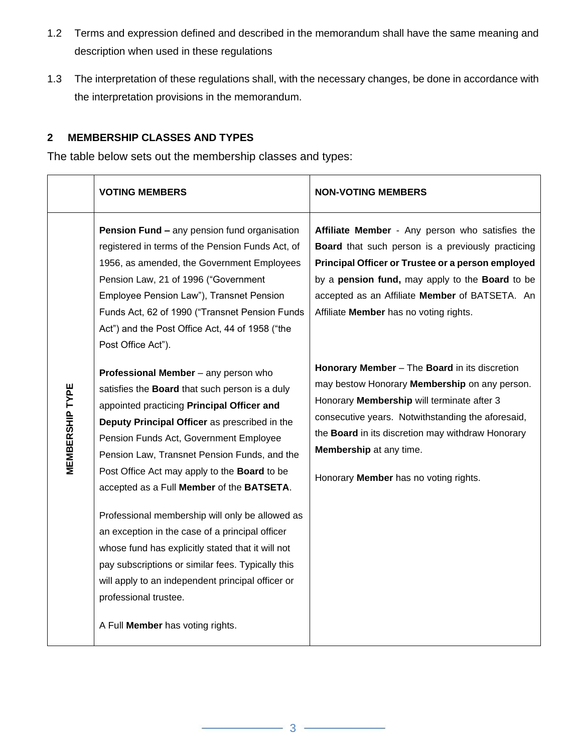- 1.2 Terms and expression defined and described in the memorandum shall have the same meaning and description when used in these regulations
- 1.3 The interpretation of these regulations shall, with the necessary changes, be done in accordance with the interpretation provisions in the memorandum.

# **2 MEMBERSHIP CLASSES AND TYPES**

The table below sets out the membership classes and types:

|                        | <b>VOTING MEMBERS</b>                                                                                                                                                                                                                                                                                                                                                                                                                                                                                        | <b>NON-VOTING MEMBERS</b>                                                                                                                                                                                                                                                                                                                                                                                                                                                                                                                                                                                                              |
|------------------------|--------------------------------------------------------------------------------------------------------------------------------------------------------------------------------------------------------------------------------------------------------------------------------------------------------------------------------------------------------------------------------------------------------------------------------------------------------------------------------------------------------------|----------------------------------------------------------------------------------------------------------------------------------------------------------------------------------------------------------------------------------------------------------------------------------------------------------------------------------------------------------------------------------------------------------------------------------------------------------------------------------------------------------------------------------------------------------------------------------------------------------------------------------------|
| <b>MEMBERSHIP TYPE</b> | <b>Pension Fund - any pension fund organisation</b><br>registered in terms of the Pension Funds Act, of<br>1956, as amended, the Government Employees<br>Pension Law, 21 of 1996 ("Government<br>Employee Pension Law"), Transnet Pension<br>Funds Act, 62 of 1990 ("Transnet Pension Funds<br>Act") and the Post Office Act, 44 of 1958 ("the<br>Post Office Act").<br>Professional Member - any person who<br>satisfies the Board that such person is a duly<br>appointed practicing Principal Officer and | Affiliate Member - Any person who satisfies the<br>Board that such person is a previously practicing<br>Principal Officer or Trustee or a person employed<br>by a pension fund, may apply to the Board to be<br>accepted as an Affiliate Member of BATSETA. An<br>Affiliate Member has no voting rights.<br>Honorary Member - The Board in its discretion<br>may bestow Honorary Membership on any person.<br>Honorary Membership will terminate after 3<br>consecutive years. Notwithstanding the aforesaid,<br>the Board in its discretion may withdraw Honorary<br>Membership at any time.<br>Honorary Member has no voting rights. |
|                        | Deputy Principal Officer as prescribed in the<br>Pension Funds Act, Government Employee<br>Pension Law, Transnet Pension Funds, and the<br>Post Office Act may apply to the <b>Board</b> to be<br>accepted as a Full Member of the BATSETA.                                                                                                                                                                                                                                                                  |                                                                                                                                                                                                                                                                                                                                                                                                                                                                                                                                                                                                                                        |
|                        | Professional membership will only be allowed as<br>an exception in the case of a principal officer<br>whose fund has explicitly stated that it will not<br>pay subscriptions or similar fees. Typically this<br>will apply to an independent principal officer or<br>professional trustee.<br>A Full Member has voting rights.                                                                                                                                                                               |                                                                                                                                                                                                                                                                                                                                                                                                                                                                                                                                                                                                                                        |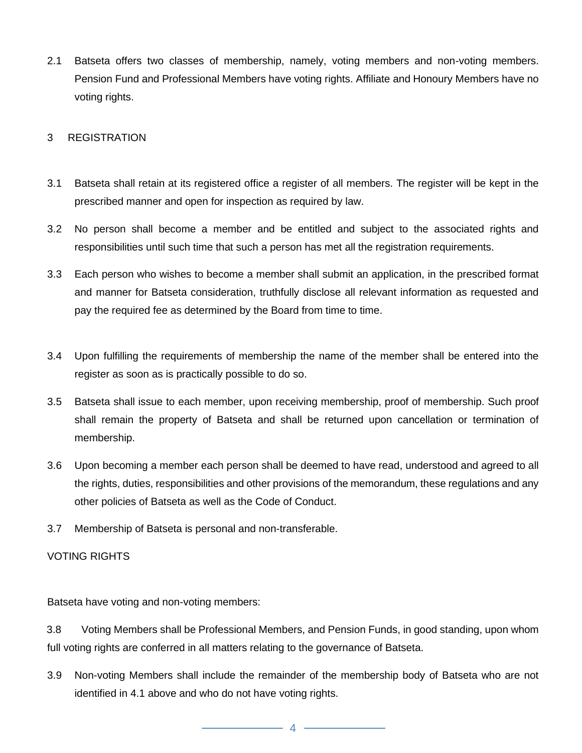2.1 Batseta offers two classes of membership, namely, voting members and non-voting members. Pension Fund and Professional Members have voting rights. Affiliate and Honoury Members have no voting rights.

#### 3 REGISTRATION

- 3.1 Batseta shall retain at its registered office a register of all members. The register will be kept in the prescribed manner and open for inspection as required by law.
- 3.2 No person shall become a member and be entitled and subject to the associated rights and responsibilities until such time that such a person has met all the registration requirements.
- 3.3 Each person who wishes to become a member shall submit an application, in the prescribed format and manner for Batseta consideration, truthfully disclose all relevant information as requested and pay the required fee as determined by the Board from time to time.
- 3.4 Upon fulfilling the requirements of membership the name of the member shall be entered into the register as soon as is practically possible to do so.
- 3.5 Batseta shall issue to each member, upon receiving membership, proof of membership. Such proof shall remain the property of Batseta and shall be returned upon cancellation or termination of membership.
- 3.6 Upon becoming a member each person shall be deemed to have read, understood and agreed to all the rights, duties, responsibilities and other provisions of the memorandum, these regulations and any other policies of Batseta as well as the Code of Conduct.
- 3.7 Membership of Batseta is personal and non-transferable.

### VOTING RIGHTS

Batseta have voting and non-voting members:

3.8 Voting Members shall be Professional Members, and Pension Funds, in good standing, upon whom full voting rights are conferred in all matters relating to the governance of Batseta.

3.9 Non-voting Members shall include the remainder of the membership body of Batseta who are not identified in 4.1 above and who do not have voting rights.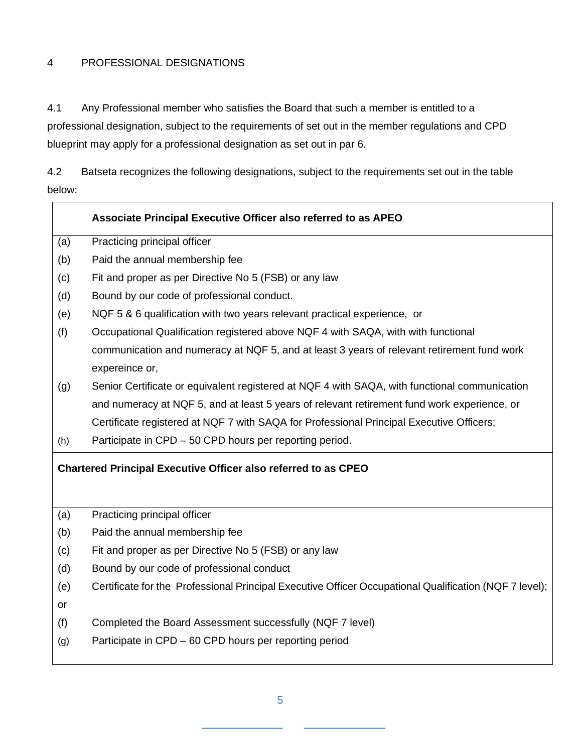## 4 PROFESSIONAL DESIGNATIONS

4.1 Any Professional member who satisfies the Board that such a member is entitled to a professional designation, subject to the requirements of set out in the member regulations and CPD blueprint may apply for a professional designation as set out in par 6.

4.2 Batseta recognizes the following designations, subject to the requirements set out in the table below:

| Associate Principal Executive Officer also referred to as APEO        |                                                                                                        |  |
|-----------------------------------------------------------------------|--------------------------------------------------------------------------------------------------------|--|
| (a)                                                                   | Practicing principal officer                                                                           |  |
| (b)                                                                   | Paid the annual membership fee                                                                         |  |
| (c)                                                                   | Fit and proper as per Directive No 5 (FSB) or any law                                                  |  |
| (d)                                                                   | Bound by our code of professional conduct.                                                             |  |
| (e)                                                                   | NQF 5 & 6 qualification with two years relevant practical experience, or                               |  |
| (f)                                                                   | Occupational Qualification registered above NQF 4 with SAQA, with with functional                      |  |
|                                                                       | communication and numeracy at NQF 5, and at least 3 years of relevant retirement fund work             |  |
|                                                                       | expereince or,                                                                                         |  |
| (g)                                                                   | Senior Certificate or equivalent registered at NQF 4 with SAQA, with functional communication          |  |
|                                                                       | and numeracy at NQF 5, and at least 5 years of relevant retirement fund work experience, or            |  |
|                                                                       | Certificate registered at NQF 7 with SAQA for Professional Principal Executive Officers;               |  |
| (h)                                                                   | Participate in CPD - 50 CPD hours per reporting period.                                                |  |
| <b>Chartered Principal Executive Officer also referred to as CPEO</b> |                                                                                                        |  |
|                                                                       |                                                                                                        |  |
| (a)                                                                   | Practicing principal officer                                                                           |  |
| (b)                                                                   | Paid the annual membership fee                                                                         |  |
| (c)                                                                   | Fit and proper as per Directive No 5 (FSB) or any law                                                  |  |
| (d)                                                                   | Bound by our code of professional conduct                                                              |  |
| (e)                                                                   | Certificate for the Professional Principal Executive Officer Occupational Qualification (NQF 7 level); |  |
| or                                                                    |                                                                                                        |  |
| (f)                                                                   | Completed the Board Assessment successfully (NQF 7 level)                                              |  |
| (g)                                                                   | Participate in CPD – 60 CPD hours per reporting period                                                 |  |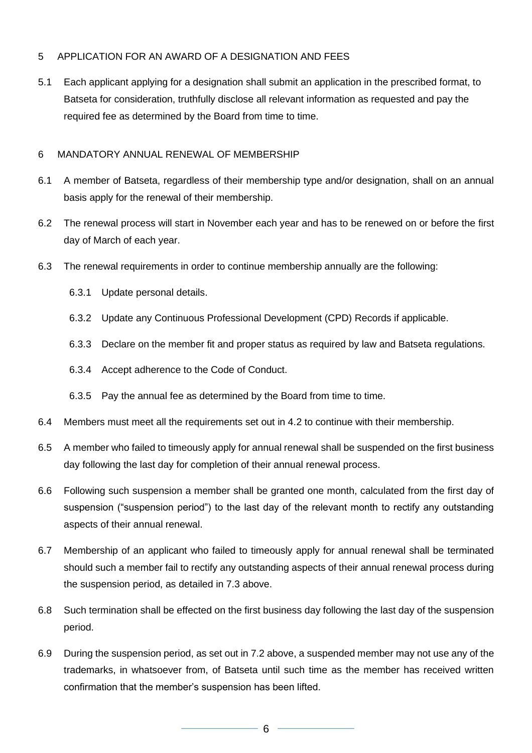# 5 APPLICATION FOR AN AWARD OF A DESIGNATION AND FEES

5.1 Each applicant applying for a designation shall submit an application in the prescribed format, to Batseta for consideration, truthfully disclose all relevant information as requested and pay the required fee as determined by the Board from time to time.

## 6 MANDATORY ANNUAL RENEWAL OF MEMBERSHIP

- 6.1 A member of Batseta, regardless of their membership type and/or designation, shall on an annual basis apply for the renewal of their membership.
- 6.2 The renewal process will start in November each year and has to be renewed on or before the first day of March of each year.
- 6.3 The renewal requirements in order to continue membership annually are the following:
	- 6.3.1 Update personal details.
	- 6.3.2 Update any Continuous Professional Development (CPD) Records if applicable.
	- 6.3.3 Declare on the member fit and proper status as required by law and Batseta regulations.
	- 6.3.4 Accept adherence to the Code of Conduct.
	- 6.3.5 Pay the annual fee as determined by the Board from time to time.
- 6.4 Members must meet all the requirements set out in 4.2 to continue with their membership.
- 6.5 A member who failed to timeously apply for annual renewal shall be suspended on the first business day following the last day for completion of their annual renewal process.
- 6.6 Following such suspension a member shall be granted one month, calculated from the first day of suspension ("suspension period") to the last day of the relevant month to rectify any outstanding aspects of their annual renewal.
- 6.7 Membership of an applicant who failed to timeously apply for annual renewal shall be terminated should such a member fail to rectify any outstanding aspects of their annual renewal process during the suspension period, as detailed in 7.3 above.
- 6.8 Such termination shall be effected on the first business day following the last day of the suspension period.
- 6.9 During the suspension period, as set out in 7.2 above, a suspended member may not use any of the trademarks, in whatsoever from, of Batseta until such time as the member has received written confirmation that the member's suspension has been lifted.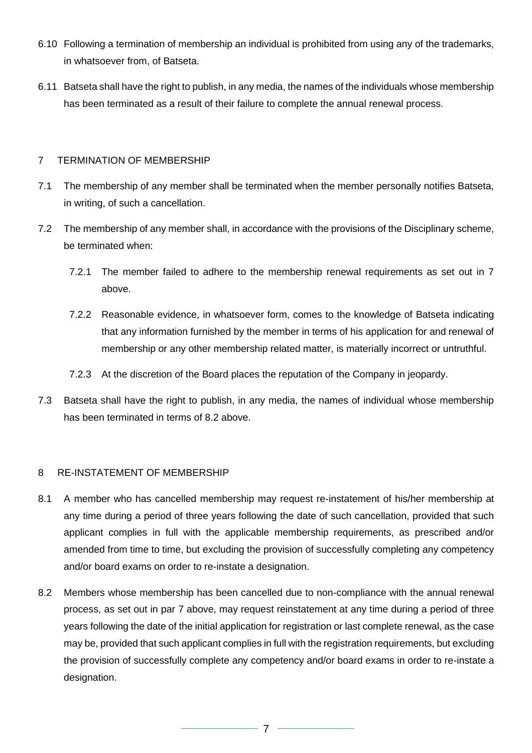- 6.10 Following a termination of membership an individual is prohibited from using any of the trademarks, in whatsoever from, of Batseta.
- 6.11 Batseta shall have the right to publish, in any media, the names of the individuals whose membership has been terminated as a result of their failure to complete the annual renewal process.

# 7 TERMINATION OF MEMBERSHIP

- 7.1 The membership of any member shall be terminated when the member personally notifies Batseta, in writing, of such a cancellation.
- 7.2 The membership of any member shall, in accordance with the provisions of the Disciplinary scheme, be terminated when:
	- 7.2.1 The member failed to adhere to the membership renewal requirements as set out in 7 above.
	- 7.2.2 Reasonable evidence, in whatsoever form, comes to the knowledge of Batseta indicating that any information furnished by the member in terms of his application for and renewal of membership or any other membership related matter, is materially incorrect or untruthful.
	- 7.2.3 At the discretion of the Board places the reputation of the Company in jeopardy.
- 7.3 Batseta shall have the right to publish, in any media, the names of individual whose membership has been terminated in terms of 8.2 above.

#### 8 RE-INSTATEMENT OF MEMBERSHIP

- 8.1 A member who has cancelled membership may request re-instatement of his/her membership at any time during a period of three years following the date of such cancellation, provided that such applicant complies in full with the applicable membership requirements, as prescribed and/or amended from time to time, but excluding the provision of successfully completing any competency and/or board exams on order to re-instate a designation.
- 8.2 Members whose membership has been cancelled due to non-compliance with the annual renewal process, as set out in par 7 above, may request reinstatement at any time during a period of three years following the date of the initial application for registration or last complete renewal, as the case may be, provided that such applicant complies in full with the registration requirements, but excluding the provision of successfully complete any competency and/or board exams in order to re-instate a designation.